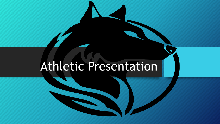## Athletic Presentation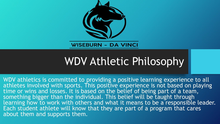

#### **WISEBURN - DA VINCI**

## WDV Athletic Philosophy

WDV athletics is committed to providing a positive learning experience to all athletes involved with sports. This positive experience is not based on playing time or wins and losses. It is based on the belief of being part of a team, something bigger than the individual. This belief will be taught through learning how to work with others and what it means to be a responsible leader. Each student athlete will know that they are part of a program that cares about them and supports them.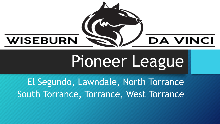

# Pioneer League

El Segundo, Lawndale, North Torrance South Torrance, Torrance, West Torrance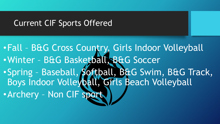#### Current CIF Sports Offered

•Fall – B&G Cross Country, Girls Indoor Volleyball •Winter – B&G Basketball, B&G Soccer •Spring – Baseball, Softball, B&G Swim, B&G Track, Boys Indoor Volleyball, Girls Beach Volleyball •Archery – Non CIF sport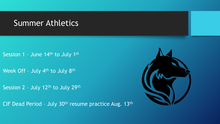#### Summer Athletics

Session 1 - June 14th to July 1st

Week Off - July 4<sup>th</sup> to July 8<sup>th</sup>

Session 2 - July 12th to July 29th

CIF Dead Period - July 30<sup>th</sup> resume practice Aug. 13<sup>th</sup>

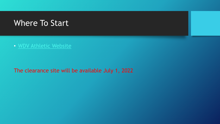#### Where To Start

• [WDV Athletic Website](https://www.davincischools.org/)

The clearance site will be available July 1, 2022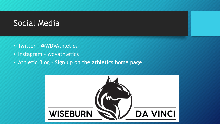#### Social Media

- Twitter @WDVAthletics
- Instagram wdvathletics
- Athletic Blog Sign up on the athletics home page